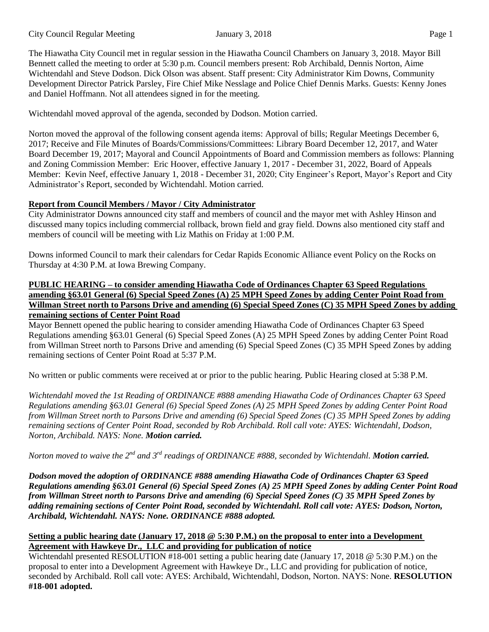The Hiawatha City Council met in regular session in the Hiawatha Council Chambers on January 3, 2018. Mayor Bill Bennett called the meeting to order at 5:30 p.m. Council members present: Rob Archibald, Dennis Norton, Aime Wichtendahl and Steve Dodson. Dick Olson was absent. Staff present: City Administrator Kim Downs, Community Development Director Patrick Parsley, Fire Chief Mike Nesslage and Police Chief Dennis Marks. Guests: Kenny Jones and Daniel Hoffmann. Not all attendees signed in for the meeting.

Wichtendahl moved approval of the agenda, seconded by Dodson. Motion carried.

Norton moved the approval of the following consent agenda items: Approval of bills; Regular Meetings December 6, 2017; Receive and File Minutes of Boards/Commissions/Committees: Library Board December 12, 2017, and Water Board December 19, 2017; Mayoral and Council Appointments of Board and Commission members as follows: Planning and Zoning Commission Member: Eric Hoover, effective January 1, 2017 - December 31, 2022, Board of Appeals Member: Kevin Neef, effective January 1, 2018 - December 31, 2020; City Engineer's Report, Mayor's Report and City Administrator's Report, seconded by Wichtendahl. Motion carried.

# **Report from Council Members / Mayor / City Administrator**

City Administrator Downs announced city staff and members of council and the mayor met with Ashley Hinson and discussed many topics including commercial rollback, brown field and gray field. Downs also mentioned city staff and members of council will be meeting with Liz Mathis on Friday at 1:00 P.M.

Downs informed Council to mark their calendars for Cedar Rapids Economic Alliance event Policy on the Rocks on Thursday at 4:30 P.M. at Iowa Brewing Company.

### **PUBLIC HEARING – to consider amending Hiawatha Code of Ordinances Chapter 63 Speed Regulations** amending §63.01 General (6) Special Speed Zones (A) 25 MPH Speed Zones by adding Center Point Road from Willman Street north to Parsons Drive and amending (6) Special Speed Zones (C) 35 MPH Speed Zones by adding **remaining sections of Center Point Road**

Mayor Bennett opened the public hearing to consider amending Hiawatha Code of Ordinances Chapter 63 Speed Regulations amending §63.01 General (6) Special Speed Zones (A) 25 MPH Speed Zones by adding Center Point Road from Willman Street north to Parsons Drive and amending (6) Special Speed Zones (C) 35 MPH Speed Zones by adding remaining sections of Center Point Road at 5:37 P.M.

No written or public comments were received at or prior to the public hearing. Public Hearing closed at 5:38 P.M.

*Wichtendahl moved the 1st Reading of ORDINANCE #888 amending Hiawatha Code of Ordinances Chapter 63 Speed* Regulations amending §63.01 General (6) Special Speed Zones (A) 25 MPH Speed Zones by adding Center Point Road from Willman Street north to Parsons Drive and amending (6) Special Speed Zones (C) 35 MPH Speed Zones by adding *remaining sections of Center Point Road, seconded by Rob Archibald. Roll call vote: AYES: Wichtendahl, Dodson, Norton, Archibald. NAYS: None. Motion carried.*

Norton moved to waive the 2<sup>nd</sup> and 3<sup>rd</sup> readings of ORDINANCE #888, seconded by Wichtendahl. **Motion carried.** 

*Dodson moved the adoption of ORDINANCE #888 amending Hiawatha Code of Ordinances Chapter 63 Speed* Regulations amending §63.01 General (6) Special Speed Zones (A) 25 MPH Speed Zones by adding Center Point Road from Willman Street north to Parsons Drive and amending (6) Special Speed Zones (C) 35 MPH Speed Zones by *adding remaining sections of Center Point Road, seconded by Wichtendahl. Roll call vote: AYES: Dodson, Norton, Archibald, Wichtendahl. NAYS: None. ORDINANCE #888 adopted.*

# Setting a public hearing date (January 17, 2018  $\circledcirc$  5:30 P.M.) on the proposal to enter into a Development **Agreement with Hawkeye Dr., LLC and providing for publication of notice**

Wichtendahl presented RESOLUTION #18-001 setting a public hearing date (January 17, 2018 @ 5:30 P.M.) on the proposal to enter into a Development Agreement with Hawkeye Dr., LLC and providing for publication of notice, seconded by Archibald. Roll call vote: AYES: Archibald, Wichtendahl, Dodson, Norton. NAYS: None. **RESOLUTION #18-001 adopted.**